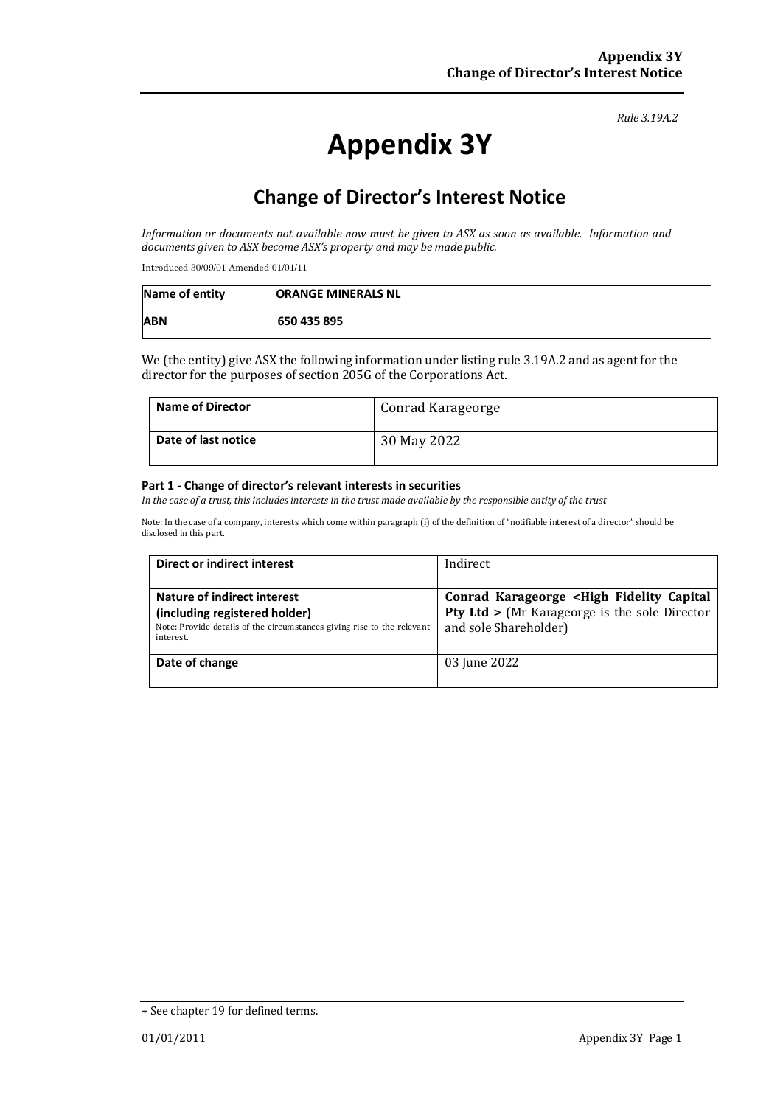#### *Rule 3.19A.2*

# **Appendix 3Y**

# **Change of Director's Interest Notice**

*Information or documents not available now must be given to ASX as soon as available. Information and documents given to ASX become ASX's property and may be made public.*

Introduced 30/09/01 Amended 01/01/11

| Name of entity | <b>ORANGE MINERALS NL</b> |
|----------------|---------------------------|
| <b>ABN</b>     | 650 435 895               |

We (the entity) give ASX the following information under listing rule 3.19A.2 and as agent for the director for the purposes of section 205G of the Corporations Act.

| <b>Name of Director</b> | Conrad Karageorge |
|-------------------------|-------------------|
| Date of last notice     | 30 May 2022       |

#### **Part 1 - Change of director's relevant interests in securities**

*In the case of a trust, this includes interests in the trust made available by the responsible entity of the trust*

Note: In the case of a company, interests which come within paragraph (i) of the definition of "notifiable interest of a director" should be disclosed in this part.

| Direct or indirect interest                                                                                                                         | Indirect                                                                                                                                   |  |
|-----------------------------------------------------------------------------------------------------------------------------------------------------|--------------------------------------------------------------------------------------------------------------------------------------------|--|
| Nature of indirect interest<br>(including registered holder)<br>Note: Provide details of the circumstances giving rise to the relevant<br>interest. | Conrad Karageorge <high capital<br="" fidelity=""><b>Pty Ltd &gt; (Mr Karageorge is the sole Director</b><br/>and sole Shareholder)</high> |  |
| Date of change                                                                                                                                      | 03 June 2022                                                                                                                               |  |

<sup>+</sup> See chapter 19 for defined terms.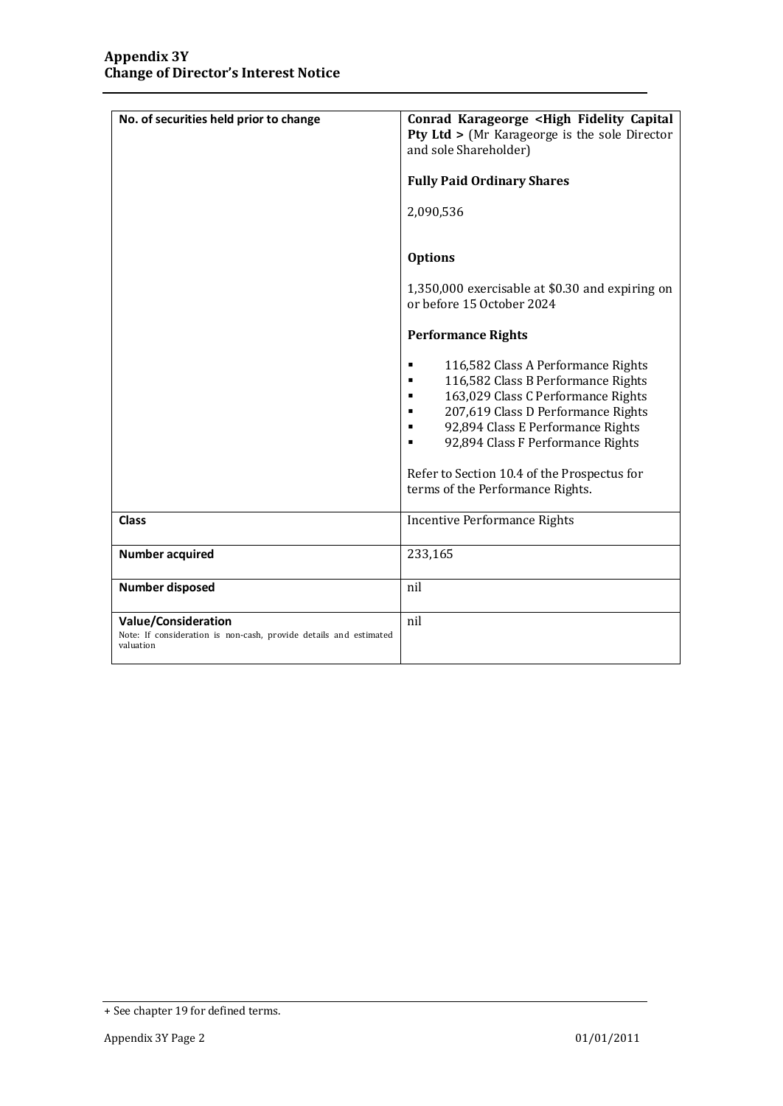| No. of securities held prior to change                                                                       | Conrad Karageorge <high capital<br="" fidelity="">Pty Ltd &gt; (Mr Karageorge is the sole Director<br/>and sole Shareholder)<br/><b>Fully Paid Ordinary Shares</b><br/>2,090,536<br/><b>Options</b><br/>1,350,000 exercisable at \$0.30 and expiring on<br/>or before 15 October 2024<br/><b>Performance Rights</b><br/>116,582 Class A Performance Rights<br/>٠<br/>116,582 Class B Performance Rights<br/>п<br/>163,029 Class C Performance Rights<br/>٠<br/>207,619 Class D Performance Rights<br/>٠<br/>92,894 Class E Performance Rights<br/>92,894 Class F Performance Rights<br/>Refer to Section 10.4 of the Prospectus for<br/>terms of the Performance Rights.</high> |
|--------------------------------------------------------------------------------------------------------------|---------------------------------------------------------------------------------------------------------------------------------------------------------------------------------------------------------------------------------------------------------------------------------------------------------------------------------------------------------------------------------------------------------------------------------------------------------------------------------------------------------------------------------------------------------------------------------------------------------------------------------------------------------------------------------|
| <b>Class</b>                                                                                                 | <b>Incentive Performance Rights</b>                                                                                                                                                                                                                                                                                                                                                                                                                                                                                                                                                                                                                                             |
| <b>Number acquired</b>                                                                                       | 233,165                                                                                                                                                                                                                                                                                                                                                                                                                                                                                                                                                                                                                                                                         |
| <b>Number disposed</b>                                                                                       | nil                                                                                                                                                                                                                                                                                                                                                                                                                                                                                                                                                                                                                                                                             |
| <b>Value/Consideration</b><br>Note: If consideration is non-cash, provide details and estimated<br>valuation | nil                                                                                                                                                                                                                                                                                                                                                                                                                                                                                                                                                                                                                                                                             |

<sup>+</sup> See chapter 19 for defined terms.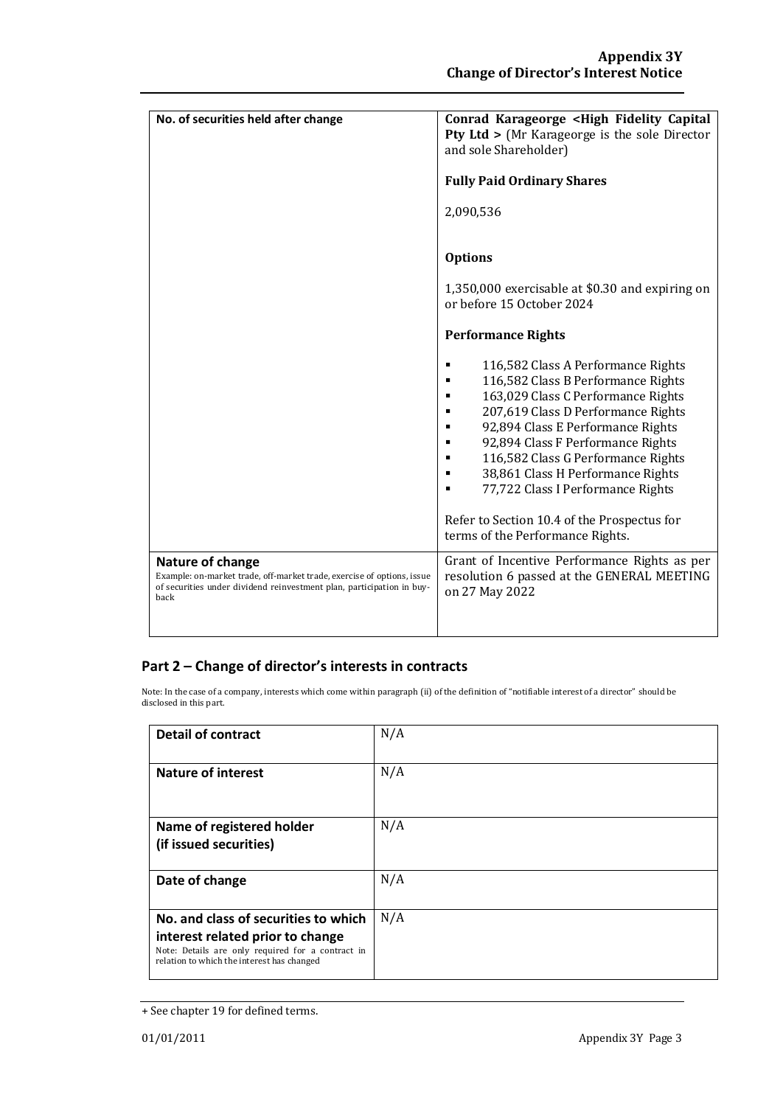| No. of securities held after change                                                                                                                                         | Conrad Karageorge <high capital<br="" fidelity=""><b>Pty Ltd &gt;</b> (Mr Karageorge is the sole Director<br/>and sole Shareholder)<br/><b>Fully Paid Ordinary Shares</b></high>                                                                                                                                                                                                                                                                           |
|-----------------------------------------------------------------------------------------------------------------------------------------------------------------------------|------------------------------------------------------------------------------------------------------------------------------------------------------------------------------------------------------------------------------------------------------------------------------------------------------------------------------------------------------------------------------------------------------------------------------------------------------------|
|                                                                                                                                                                             | 2,090,536                                                                                                                                                                                                                                                                                                                                                                                                                                                  |
|                                                                                                                                                                             | <b>Options</b>                                                                                                                                                                                                                                                                                                                                                                                                                                             |
|                                                                                                                                                                             | 1,350,000 exercisable at \$0.30 and expiring on<br>or before 15 October 2024                                                                                                                                                                                                                                                                                                                                                                               |
|                                                                                                                                                                             | <b>Performance Rights</b>                                                                                                                                                                                                                                                                                                                                                                                                                                  |
|                                                                                                                                                                             | 116,582 Class A Performance Rights<br>٠<br>116,582 Class B Performance Rights<br>п<br>163,029 Class C Performance Rights<br>207,619 Class D Performance Rights<br>92,894 Class E Performance Rights<br>٠<br>92,894 Class F Performance Rights<br>٠<br>116,582 Class G Performance Rights<br>٠<br>38,861 Class H Performance Rights<br>77,722 Class I Performance Rights<br>Refer to Section 10.4 of the Prospectus for<br>terms of the Performance Rights. |
| Nature of change<br>Example: on-market trade, off-market trade, exercise of options, issue<br>of securities under dividend reinvestment plan, participation in buy-<br>back | Grant of Incentive Performance Rights as per<br>resolution 6 passed at the GENERAL MEETING<br>on 27 May 2022                                                                                                                                                                                                                                                                                                                                               |

### **Part 2 – Change of director's interests in contracts**

Note: In the case of a company, interests which come within paragraph (ii) of the definition of "notifiable interest of a director" should be disclosed in this part.

| <b>Detail of contract</b>                                                                                                                                                   | N/A |
|-----------------------------------------------------------------------------------------------------------------------------------------------------------------------------|-----|
| <b>Nature of interest</b>                                                                                                                                                   | N/A |
| Name of registered holder<br>(if issued securities)                                                                                                                         | N/A |
| Date of change                                                                                                                                                              | N/A |
| No. and class of securities to which<br>interest related prior to change<br>Note: Details are only required for a contract in<br>relation to which the interest has changed | N/A |

<sup>+</sup> See chapter 19 for defined terms.